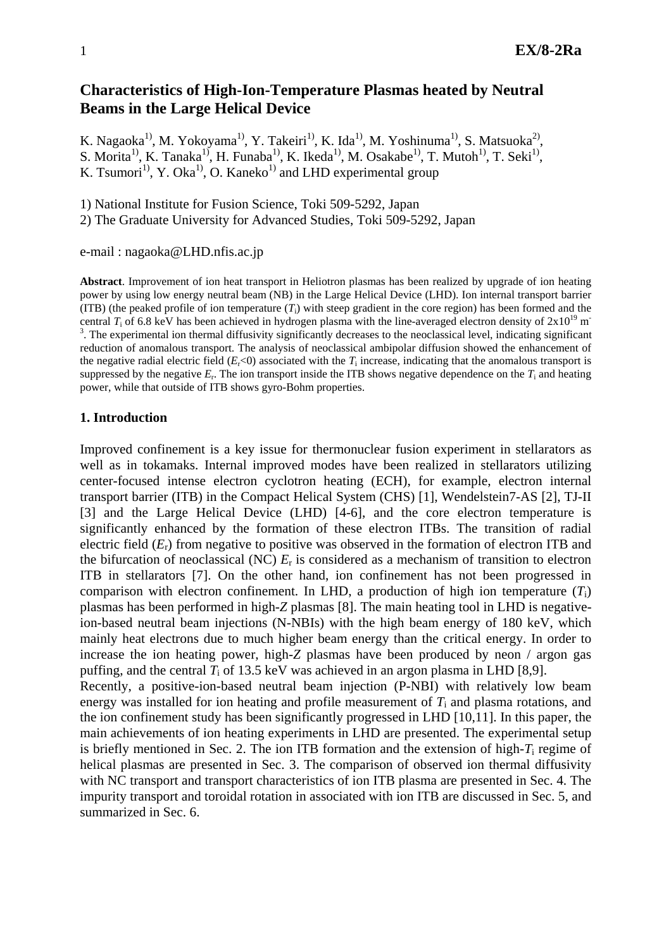# **Characteristics of High-Ion-Temperature Plasmas heated by Neutral Beams in the Large Helical Device**

K. Nagaoka<sup>1)</sup>, M. Yokoyama<sup>1)</sup>, Y. Takeiri<sup>1)</sup>, K. Ida<sup>1)</sup>, M. Yoshinuma<sup>1)</sup>, S. Matsuoka<sup>2)</sup>, S. Morita<sup>1)</sup>, K. Tanaka<sup>1)</sup>, H. Funaba<sup>1)</sup>, K. Ikeda<sup>1)</sup>, M. Osakabe<sup>1)</sup>, T. Mutoh<sup>1)</sup>, T. Seki<sup>1)</sup>, K. Tsumori<sup>1)</sup>, Y. Oka<sup>1)</sup>, O. Kaneko<sup>1)</sup> and LHD experimental group

1) National Institute for Fusion Science, Toki 509-5292, Japan

2) The Graduate University for Advanced Studies, Toki 509-5292, Japan

e-mail : nagaoka@LHD.nfis.ac.jp

**Abstract**. Improvement of ion heat transport in Heliotron plasmas has been realized by upgrade of ion heating power by using low energy neutral beam (NB) in the Large Helical Device (LHD). Ion internal transport barrier (ITB) (the peaked profile of ion temperature  $(T_i)$  with steep gradient in the core region) has been formed and the central  $T_i$  of 6.8 keV has been achieved in hydrogen plasma with the line-averaged electron density of  $2x10^{19}$  m<sup>-</sup>  $3$ . The experimental ion thermal diffusivity significantly decreases to the neoclassical level, indicating significant reduction of anomalous transport. The analysis of neoclassical ambipolar diffusion showed the enhancement of the negative radial electric field  $(E_r<0)$  associated with the  $T_i$  increase, indicating that the anomalous transport is suppressed by the negative  $E_r$ . The ion transport inside the ITB shows negative dependence on the  $T_i$  and heating power, while that outside of ITB shows gyro-Bohm properties.

### **1. Introduction**

Improved confinement is a key issue for thermonuclear fusion experiment in stellarators as well as in tokamaks. Internal improved modes have been realized in stellarators utilizing center-focused intense electron cyclotron heating (ECH), for example, electron internal transport barrier (ITB) in the Compact Helical System (CHS) [1], Wendelstein7-AS [2], TJ-II [3] and the Large Helical Device (LHD) [4-6], and the core electron temperature is significantly enhanced by the formation of these electron ITBs. The transition of radial electric field (*E*r) from negative to positive was observed in the formation of electron ITB and the bifurcation of neoclassical (NC) *E*r is considered as a mechanism of transition to electron ITB in stellarators [7]. On the other hand, ion confinement has not been progressed in comparison with electron confinement. In LHD, a production of high ion temperature  $(T_i)$ plasmas has been performed in high-*Z* plasmas [8]. The main heating tool in LHD is negativeion-based neutral beam injections (N-NBIs) with the high beam energy of 180 keV, which mainly heat electrons due to much higher beam energy than the critical energy. In order to increase the ion heating power, high-*Z* plasmas have been produced by neon / argon gas puffing, and the central  $T_i$  of 13.5 keV was achieved in an argon plasma in LHD [8,9]. Recently, a positive-ion-based neutral beam injection (P-NBI) with relatively low beam energy was installed for ion heating and profile measurement of *T*i and plasma rotations, and the ion confinement study has been significantly progressed in LHD [10,11]. In this paper, the main achievements of ion heating experiments in LHD are presented. The experimental setup is briefly mentioned in Sec. 2. The ion ITB formation and the extension of high-*T*i regime of

helical plasmas are presented in Sec. 3. The comparison of observed ion thermal diffusivity with NC transport and transport characteristics of ion ITB plasma are presented in Sec. 4. The impurity transport and toroidal rotation in associated with ion ITB are discussed in Sec. 5, and summarized in Sec. 6.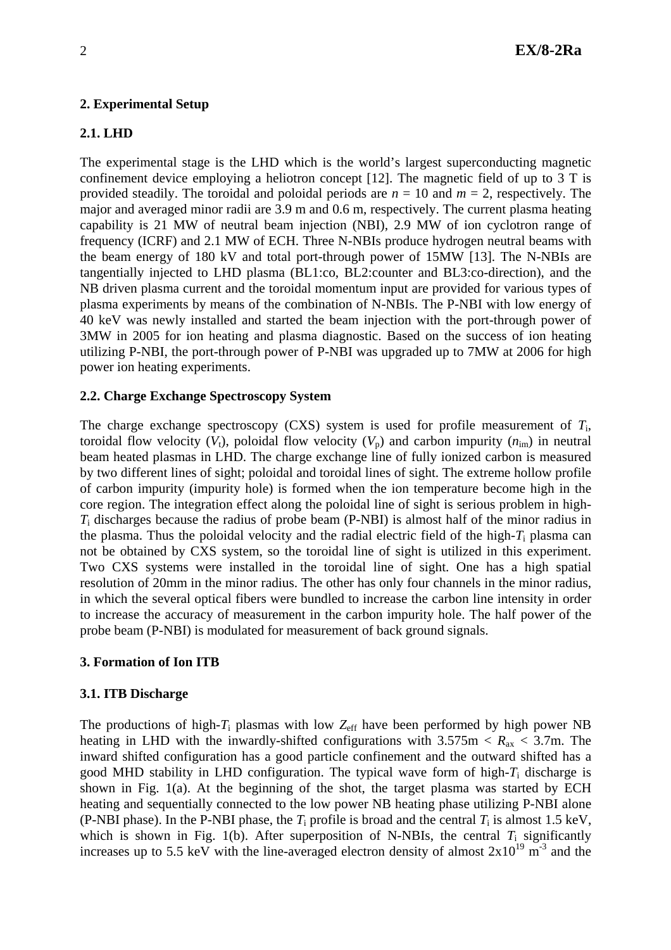# **2. Experimental Setup**

# **2.1. LHD**

The experimental stage is the LHD which is the world's largest superconducting magnetic confinement device employing a heliotron concept [12]. The magnetic field of up to 3 T is provided steadily. The toroidal and poloidal periods are  $n = 10$  and  $m = 2$ , respectively. The major and averaged minor radii are 3.9 m and 0.6 m, respectively. The current plasma heating capability is 21 MW of neutral beam injection (NBI), 2.9 MW of ion cyclotron range of frequency (ICRF) and 2.1 MW of ECH. Three N-NBIs produce hydrogen neutral beams with the beam energy of 180 kV and total port-through power of 15MW [13]. The N-NBIs are tangentially injected to LHD plasma (BL1:co, BL2:counter and BL3:co-direction), and the NB driven plasma current and the toroidal momentum input are provided for various types of plasma experiments by means of the combination of N-NBIs. The P-NBI with low energy of 40 keV was newly installed and started the beam injection with the port-through power of 3MW in 2005 for ion heating and plasma diagnostic. Based on the success of ion heating utilizing P-NBI, the port-through power of P-NBI was upgraded up to 7MW at 2006 for high power ion heating experiments.

## **2.2. Charge Exchange Spectroscopy System**

The charge exchange spectroscopy (CXS) system is used for profile measurement of *T*i, toroidal flow velocity  $(V_t)$ , poloidal flow velocity  $(V_p)$  and carbon impurity  $(n_{im})$  in neutral beam heated plasmas in LHD. The charge exchange line of fully ionized carbon is measured by two different lines of sight; poloidal and toroidal lines of sight. The extreme hollow profile of carbon impurity (impurity hole) is formed when the ion temperature become high in the core region. The integration effect along the poloidal line of sight is serious problem in high-*T*i discharges because the radius of probe beam (P-NBI) is almost half of the minor radius in the plasma. Thus the poloidal velocity and the radial electric field of the high-*T*i plasma can not be obtained by CXS system, so the toroidal line of sight is utilized in this experiment. Two CXS systems were installed in the toroidal line of sight. One has a high spatial resolution of 20mm in the minor radius. The other has only four channels in the minor radius, in which the several optical fibers were bundled to increase the carbon line intensity in order to increase the accuracy of measurement in the carbon impurity hole. The half power of the probe beam (P-NBI) is modulated for measurement of back ground signals.

## **3. Formation of Ion ITB**

## **3.1. ITB Discharge**

The productions of high- $T_i$  plasmas with low  $Z_{\text{eff}}$  have been performed by high power NB heating in LHD with the inwardly-shifted configurations with  $3.575$ m  $\langle R_{ax} \rangle$  3.7m. The inward shifted configuration has a good particle confinement and the outward shifted has a good MHD stability in LHD configuration. The typical wave form of high-*T*i discharge is shown in Fig. 1(a). At the beginning of the shot, the target plasma was started by ECH heating and sequentially connected to the low power NB heating phase utilizing P-NBI alone (P-NBI phase). In the P-NBI phase, the  $T_i$  profile is broad and the central  $T_i$  is almost 1.5 keV, which is shown in Fig. 1(b). After superposition of N-NBIs, the central  $T_i$  significantly increases up to 5.5 keV with the line-averaged electron density of almost  $2x10^{19}$  m<sup>-3</sup> and the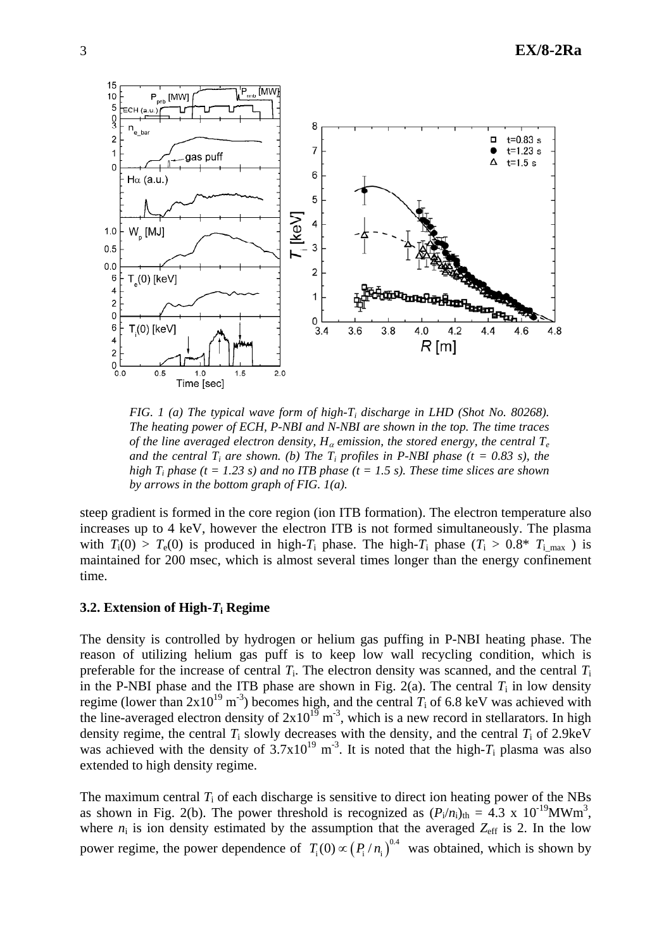

*FIG. 1 (a) The typical wave form of high-T<sub>i</sub> discharge in LHD (Shot No. 80268). The heating power of ECH, P-NBI and N-NBI are shown in the top. The time traces of the line averaged electron density,*  $H_\alpha$  *emission, the stored energy, the central*  $T_e$ *and the central T<sub>i</sub> are shown. (b) The T<sub>i</sub> profiles in P-NBI phase (* $t = 0.83$  *s), the high T<sub>i</sub> phase (t = 1.23 s) and no ITB phase (t = 1.5 s). These time slices are shown by arrows in the bottom graph of FIG. 1(a).* 

steep gradient is formed in the core region (ion ITB formation). The electron temperature also increases up to 4 keV, however the electron ITB is not formed simultaneously. The plasma with  $T_i(0) > T_e(0)$  is produced in high-*T*<sub>i</sub> phase. The high-*T*<sub>i</sub> phase  $(T_i > 0.8^*$  *T*<sub>i max</sub> ) is maintained for 200 msec, which is almost several times longer than the energy confinement time.

### **3.2. Extension of High-***T***i Regime**

The density is controlled by hydrogen or helium gas puffing in P-NBI heating phase. The reason of utilizing helium gas puff is to keep low wall recycling condition, which is preferable for the increase of central  $T_i$ . The electron density was scanned, and the central  $T_i$ in the P-NBI phase and the ITB phase are shown in Fig. 2(a). The central  $T_i$  in low density regime (lower than  $2x10^{19}$  m<sup>-3</sup>) becomes high, and the central  $T_i$  of 6.8 keV was achieved with the line-averaged electron density of  $2x10^{19}$  m<sup>-3</sup>, which is a new record in stellarators. In high density regime, the central  $T_i$  slowly decreases with the density, and the central  $T_i$  of 2.9keV was achieved with the density of  $3.7x10^{19}$  m<sup>-3</sup>. It is noted that the high-*T*<sub>i</sub> plasma was also extended to high density regime.

The maximum central  $T_i$  of each discharge is sensitive to direct ion heating power of the NBs as shown in Fig. 2(b). The power threshold is recognized as  $(P_i/n_i)_{th} = 4.3 \times 10^{-19} \text{MWm}^3$ , where  $n_i$  is ion density estimated by the assumption that the averaged  $Z_{\text{eff}}$  is 2. In the low power regime, the power dependence of  $T_i(0) \propto (P_i/n_i)^{0.4}$  was obtained, which is shown by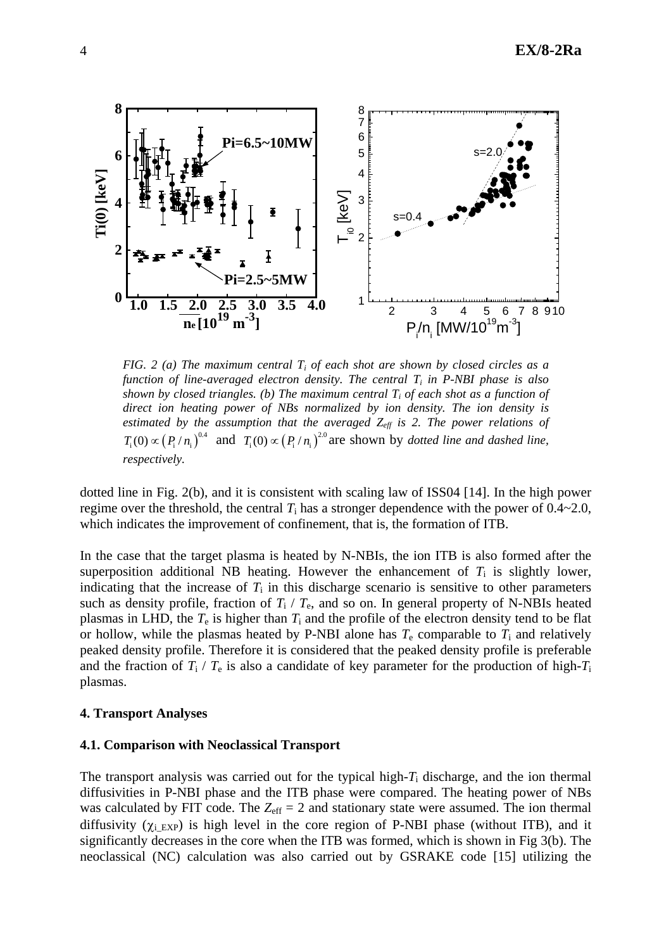

*FIG. 2 (a) The maximum central Ti of each shot are shown by closed circles as a function of line-averaged electron density. The central Ti in P-NBI phase is also shown by closed triangles. (b) The maximum central*  $T_i$  *of each shot as a function of direct ion heating power of NBs normalized by ion density. The ion density is estimated by the assumption that the averaged*  $Z_{\text{eff}}$  *is 2. The power relations of*  $T_i(0) \propto (P_i/n_i)^{0.4}$  and  $T_i(0) \propto (P_i/n_i)^{2.0}$  are shown by *dotted line and dashed line*, *respectively.*

dotted line in Fig. 2(b), and it is consistent with scaling law of ISS04 [14]. In the high power regime over the threshold, the central  $T_i$  has a stronger dependence with the power of  $0.4 \sim 2.0$ , which indicates the improvement of confinement, that is, the formation of ITB.

In the case that the target plasma is heated by N-NBIs, the ion ITB is also formed after the superposition additional NB heating. However the enhancement of  $T_i$  is slightly lower, indicating that the increase of  $T_i$  in this discharge scenario is sensitive to other parameters such as density profile, fraction of  $T_i$  /  $T_e$ , and so on. In general property of N-NBIs heated plasmas in LHD, the  $T_e$  is higher than  $T_i$  and the profile of the electron density tend to be flat or hollow, while the plasmas heated by P-NBI alone has  $T_e$  comparable to  $T_i$  and relatively peaked density profile. Therefore it is considered that the peaked density profile is preferable and the fraction of  $T_i$  /  $T_e$  is also a candidate of key parameter for the production of high- $T_i$ plasmas.

### **4. Transport Analyses**

#### **4.1. Comparison with Neoclassical Transport**

The transport analysis was carried out for the typical high-*T*i discharge, and the ion thermal diffusivities in P-NBI phase and the ITB phase were compared. The heating power of NBs was calculated by FIT code. The  $Z_{\text{eff}} = 2$  and stationary state were assumed. The ion thermal diffusivity ( $\chi_i$ <sub>EXP</sub>) is high level in the core region of P-NBI phase (without ITB), and it significantly decreases in the core when the ITB was formed, which is shown in Fig 3(b). The neoclassical (NC) calculation was also carried out by GSRAKE code [15] utilizing the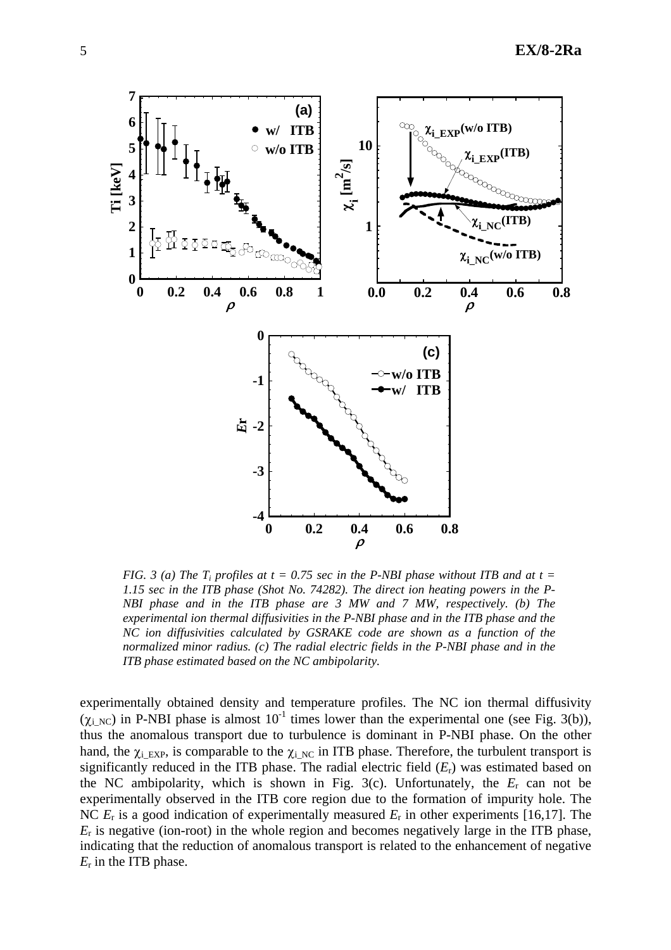

*FIG.* 3 (a) The T<sub>i</sub> profiles at  $t = 0.75$  sec in the P-NBI phase without ITB and at  $t =$ *1.15 sec in the ITB phase (Shot No. 74282). The direct ion heating powers in the P-NBI phase and in the ITB phase are 3 MW and 7 MW, respectively. (b) The experimental ion thermal diffusivities in the P-NBI phase and in the ITB phase and the NC ion diffusivities calculated by GSRAKE code are shown as a function of the normalized minor radius. (c) The radial electric fields in the P-NBI phase and in the ITB phase estimated based on the NC ambipolarity.* 

experimentally obtained density and temperature profiles. The NC ion thermal diffusivity  $(\chi_{i\text{NC}})$  in P-NBI phase is almost  $10^{-1}$  times lower than the experimental one (see Fig. 3(b)), thus the anomalous transport due to turbulence is dominant in P-NBI phase. On the other hand, the  $\chi_i$  EXP, is comparable to the  $\chi_i$  NC in ITB phase. Therefore, the turbulent transport is significantly reduced in the ITB phase. The radial electric field (*E*r) was estimated based on the NC ambipolarity, which is shown in Fig. 3(c). Unfortunately, the  $E_r$  can not be experimentally observed in the ITB core region due to the formation of impurity hole. The NC *E*r is a good indication of experimentally measured *E*r in other experiments [16,17]. The  $E_r$  is negative (ion-root) in the whole region and becomes negatively large in the ITB phase, indicating that the reduction of anomalous transport is related to the enhancement of negative *E*r in the ITB phase.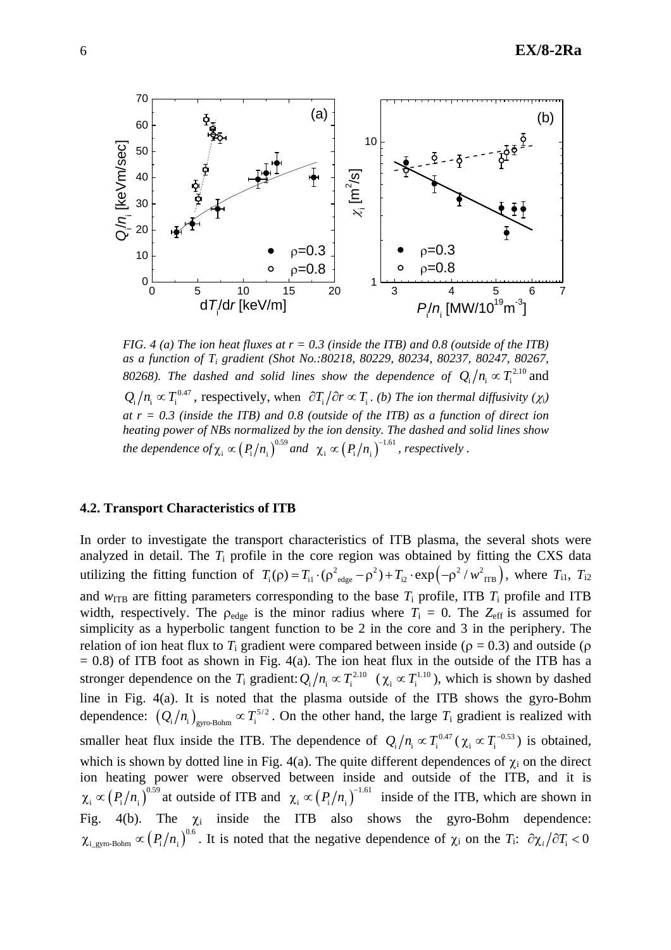

*FIG. 4 (a) The ion heat fluxes at*  $r = 0.3$  *(inside the ITB) and 0.8 (outside of the ITB) as a function of Ti gradient (Shot No.:80218, 80229, 80234, 80237, 80247, 80267, 80268). The dashed and solid lines show the dependence of*  $Q_i/n_i \propto T_i^{2.10}$  *and*  $Q_i/n_i \propto T_i^{0.47}$ , respectively, when  $\partial T_i/\partial r \propto T_i$ . (b) The ion thermal diffusivity ( $\chi_i$ ) *at r = 0.3 (inside the ITB) and 0.8 (outside of the ITB) as a function of direct ion heating power of NBs normalized by the ion density. The dashed and solid lines show the dependence of*  $\chi_i \propto (P_i/n_i)^{0.59}$  and  $\chi_i \propto (P_i/n_i)^{-1.61}$ , respectively.

### **4.2. Transport Characteristics of ITB**

In order to investigate the transport characteristics of ITB plasma, the several shots were analyzed in detail. The *T*i profile in the core region was obtained by fitting the CXS data utilizing the fitting function of  $T_i(\rho) = T_{i1} \cdot (\rho^2_{edge} - \rho^2) + T_{i2} \cdot \exp(-\rho^2 / w_{TIB}^2)$ , where  $T_{i1}$ ,  $T_{i2}$ and  $w_{\text{ITB}}$  are fitting parameters corresponding to the base  $T_i$  profile, ITB  $T_i$  profile and ITB width, respectively. The  $\rho_{\text{edge}}$  is the minor radius where  $T_i = 0$ . The  $Z_{\text{eff}}$  is assumed for simplicity as a hyperbolic tangent function to be 2 in the core and 3 in the periphery. The relation of ion heat flux to  $T_i$  gradient were compared between inside ( $\rho = 0.3$ ) and outside ( $\rho$  $= 0.8$ ) of ITB foot as shown in Fig. 4(a). The ion heat flux in the outside of the ITB has a stronger dependence on the  $T_i$  gradient:  $Q_i/n_i \propto T_i^{2.10}$  ( $\chi_i \propto T_i^{1.10}$ ), which is shown by dashed line in Fig. 4(a). It is noted that the plasma outside of the ITB shows the gyro-Bohm dependence:  $(Q_i/n_i)_{\text{gyro-Bohm}} \propto T_i^{5/2}$ . On the other hand, the large  $T_i$  gradient is realized with smaller heat flux inside the ITB. The dependence of  $Q_i/n_i \propto T_i^{0.47}$  ( $\chi_i \propto T_i^{-0.53}$ ) is obtained, which is shown by dotted line in Fig. 4(a). The quite different dependences of  $\chi_i$  on the direct ion heating power were observed between inside and outside of the ITB, and it is  $\chi_i \propto (P_i/n_i)^{0.59}$  at outside of ITB and  $\chi_i \propto (P_i/n_i)^{-1.61}$  inside of the ITB, which are shown in Fig. 4(b). The  $\chi_i$  inside the ITB also shows the gyro-Bohm dependence:  $\chi_{i_{\text{gypo-Bohn}}} \propto (P_i/n_i)^{0.6}$ . It is noted that the negative dependence of  $\chi_i$  on the  $T_i$ :  $\partial \chi_i/\partial T_i < 0$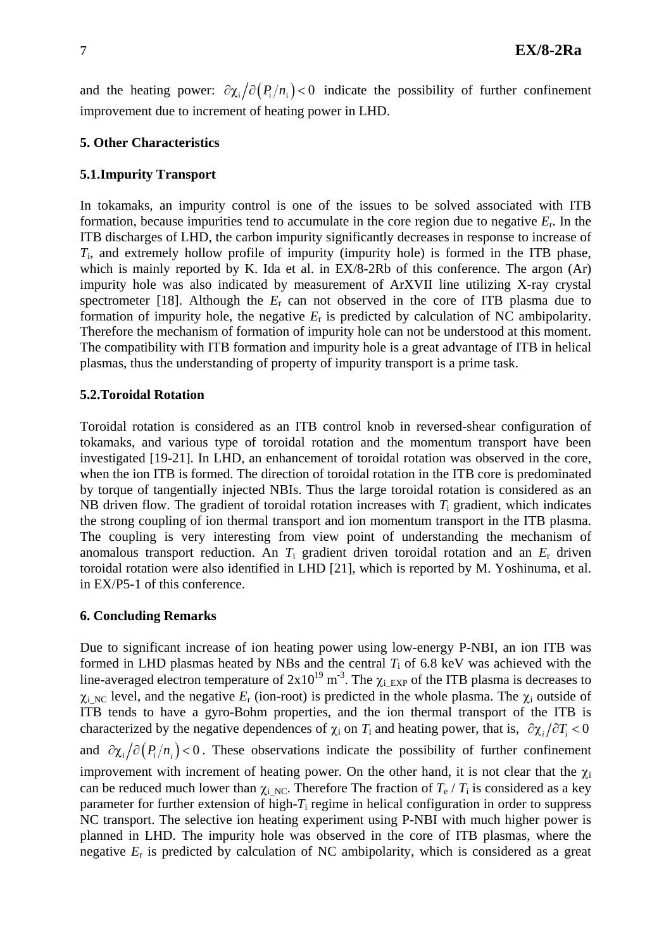and the heating power:  $\partial \chi_i / \partial (P_i/n_i) < 0$  indicate the possibility of further confinement improvement due to increment of heating power in LHD.

## **5. Other Characteristics**

## **5.1.Impurity Transport**

In tokamaks, an impurity control is one of the issues to be solved associated with ITB formation, because impurities tend to accumulate in the core region due to negative *E*r. In the ITB discharges of LHD, the carbon impurity significantly decreases in response to increase of *T*i, and extremely hollow profile of impurity (impurity hole) is formed in the ITB phase, which is mainly reported by K. Ida et al. in EX/8-2Rb of this conference. The argon (Ar) impurity hole was also indicated by measurement of ArXVII line utilizing X-ray crystal spectrometer [18]. Although the *E*r can not observed in the core of ITB plasma due to formation of impurity hole, the negative *E*r is predicted by calculation of NC ambipolarity. Therefore the mechanism of formation of impurity hole can not be understood at this moment. The compatibility with ITB formation and impurity hole is a great advantage of ITB in helical plasmas, thus the understanding of property of impurity transport is a prime task.

### **5.2.Toroidal Rotation**

Toroidal rotation is considered as an ITB control knob in reversed-shear configuration of tokamaks, and various type of toroidal rotation and the momentum transport have been investigated [19-21]. In LHD, an enhancement of toroidal rotation was observed in the core, when the ion ITB is formed. The direction of toroidal rotation in the ITB core is predominated by torque of tangentially injected NBIs. Thus the large toroidal rotation is considered as an NB driven flow. The gradient of toroidal rotation increases with *T*i gradient, which indicates the strong coupling of ion thermal transport and ion momentum transport in the ITB plasma. The coupling is very interesting from view point of understanding the mechanism of anomalous transport reduction. An *T*i gradient driven toroidal rotation and an *E*r driven toroidal rotation were also identified in LHD [21], which is reported by M. Yoshinuma, et al. in EX/P5-1 of this conference.

### **6. Concluding Remarks**

Due to significant increase of ion heating power using low-energy P-NBI, an ion ITB was formed in LHD plasmas heated by NBs and the central  $T_i$  of 6.8 keV was achieved with the line-averaged electron temperature of  $2x10^{19}$  m<sup>-3</sup>. The  $\chi_i$ <sub>EXP</sub> of the ITB plasma is decreases to  $\chi_i$ <sub>NC</sub> level, and the negative  $E_r$  (ion-root) is predicted in the whole plasma. The  $\chi_i$  outside of ITB tends to have a gyro-Bohm properties, and the ion thermal transport of the ITB is characterized by the negative dependences of  $\chi_i$  on  $T_i$  and heating power, that is,  $\partial \chi_i / \partial T_i < 0$ and  $\partial \chi_i / \partial (P_i / n_i)$  < 0. These observations indicate the possibility of further confinement improvement with increment of heating power. On the other hand, it is not clear that the  $\chi_i$ can be reduced much lower than  $\chi_i_{NC}$ . Therefore The fraction of  $T_e / T_i$  is considered as a key parameter for further extension of high-*T*i regime in helical configuration in order to suppress NC transport. The selective ion heating experiment using P-NBI with much higher power is planned in LHD. The impurity hole was observed in the core of ITB plasmas, where the negative *E*r is predicted by calculation of NC ambipolarity, which is considered as a great